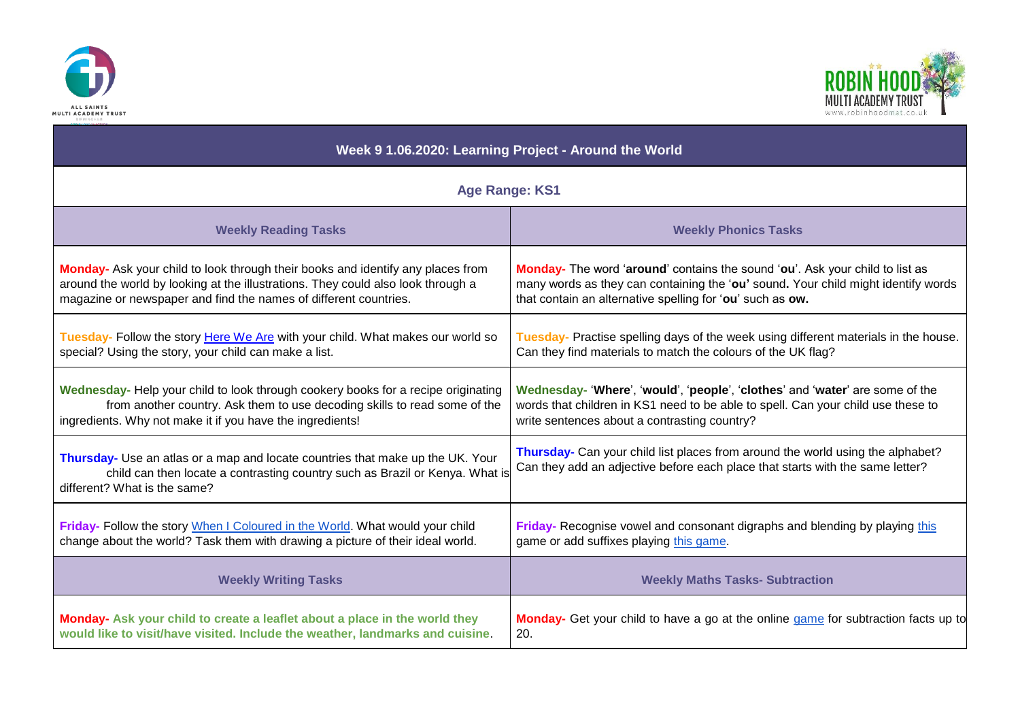



| Week 9 1.06.2020: Learning Project - Around the World                                                                                                                                          |                                                                                                                                                                 |
|------------------------------------------------------------------------------------------------------------------------------------------------------------------------------------------------|-----------------------------------------------------------------------------------------------------------------------------------------------------------------|
| <b>Age Range: KS1</b>                                                                                                                                                                          |                                                                                                                                                                 |
| <b>Weekly Reading Tasks</b>                                                                                                                                                                    | <b>Weekly Phonics Tasks</b>                                                                                                                                     |
| Monday- Ask your child to look through their books and identify any places from                                                                                                                | Monday- The word 'around' contains the sound 'ou'. Ask your child to list as                                                                                    |
| around the world by looking at the illustrations. They could also look through a                                                                                                               | many words as they can containing the 'ou' sound. Your child might identify words                                                                               |
| magazine or newspaper and find the names of different countries.                                                                                                                               | that contain an alternative spelling for 'ou' such as ow.                                                                                                       |
| Tuesday- Follow the story Here We Are with your child. What makes our world so                                                                                                                 | Tuesday- Practise spelling days of the week using different materials in the house.                                                                             |
| special? Using the story, your child can make a list.                                                                                                                                          | Can they find materials to match the colours of the UK flag?                                                                                                    |
| Wednesday- Help your child to look through cookery books for a recipe originating                                                                                                              | Wednesday- 'Where', 'would', 'people', 'clothes' and 'water' are some of the                                                                                    |
| from another country. Ask them to use decoding skills to read some of the                                                                                                                      | words that children in KS1 need to be able to spell. Can your child use these to                                                                                |
| ingredients. Why not make it if you have the ingredients!                                                                                                                                      | write sentences about a contrasting country?                                                                                                                    |
| Thursday- Use an atlas or a map and locate countries that make up the UK. Your<br>child can then locate a contrasting country such as Brazil or Kenya. What is<br>different? What is the same? | Thursday- Can your child list places from around the world using the alphabet?<br>Can they add an adjective before each place that starts with the same letter? |
| Friday- Follow the story When I Coloured in the World. What would your child                                                                                                                   | Friday- Recognise vowel and consonant digraphs and blending by playing this                                                                                     |
| change about the world? Task them with drawing a picture of their ideal world.                                                                                                                 | game or add suffixes playing this game.                                                                                                                         |
| <b>Weekly Writing Tasks</b>                                                                                                                                                                    | <b>Weekly Maths Tasks- Subtraction</b>                                                                                                                          |
| Monday- Ask your child to create a leaflet about a place in the world they                                                                                                                     | Monday- Get your child to have a go at the online game for subtraction facts up to                                                                              |
| would like to visit/have visited. Include the weather, landmarks and cuisine.                                                                                                                  | 20.                                                                                                                                                             |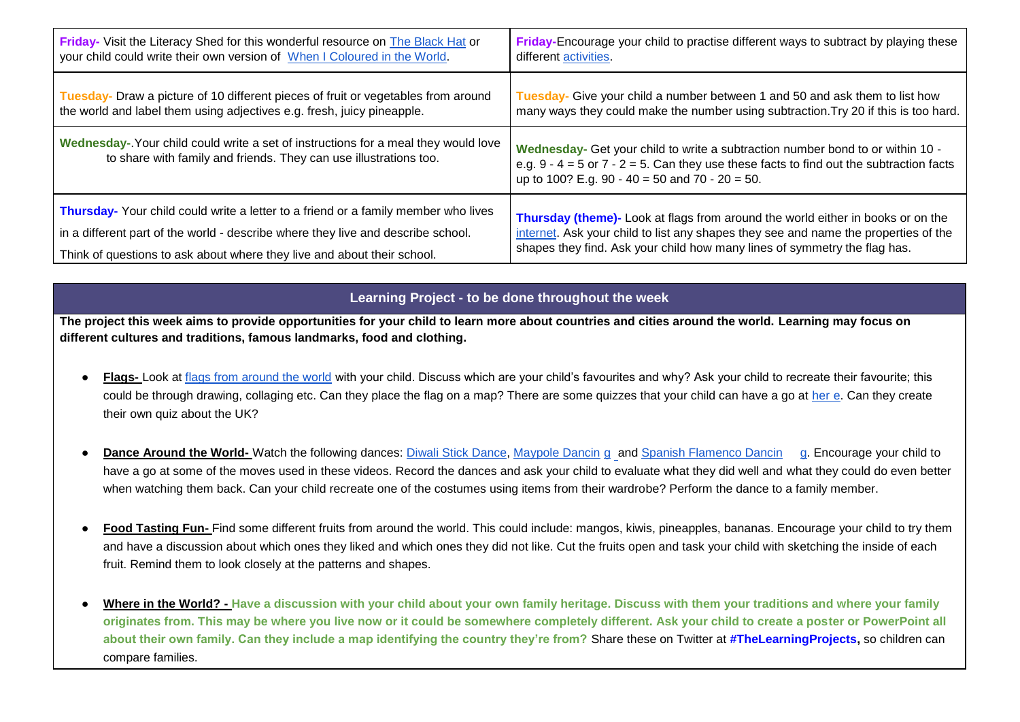| <b>Friday-</b> Visit the Literacy Shed for this wonderful resource on The Black Hat or                                                                   | Friday-Encourage your child to practise different ways to subtract by playing these                                                                                                                                              |
|----------------------------------------------------------------------------------------------------------------------------------------------------------|----------------------------------------------------------------------------------------------------------------------------------------------------------------------------------------------------------------------------------|
| your child could write their own version of When I Coloured in the World.                                                                                | different activities.                                                                                                                                                                                                            |
| Tuesday- Draw a picture of 10 different pieces of fruit or vegetables from around                                                                        | Tuesday- Give your child a number between 1 and 50 and ask them to list how                                                                                                                                                      |
| the world and label them using adjectives e.g. fresh, juicy pineapple.                                                                                   | many ways they could make the number using subtraction. Try 20 if this is too hard.                                                                                                                                              |
| Wednesday-. Your child could write a set of instructions for a meal they would love<br>to share with family and friends. They can use illustrations too. | Wednesday- Get your child to write a subtraction number bond to or within 10 -<br>e.g. $9 - 4 = 5$ or $7 - 2 = 5$ . Can they use these facts to find out the subtraction facts<br>up to 100? E.g. 90 - 40 = 50 and 70 - 20 = 50. |
| <b>Thursday-</b> Your child could write a letter to a friend or a family member who lives                                                                | Thursday (theme)- Look at flags from around the world either in books or on the                                                                                                                                                  |
| in a different part of the world - describe where they live and describe school.                                                                         | internet. Ask your child to list any shapes they see and name the properties of the                                                                                                                                              |
| Think of questions to ask about where they live and about their school.                                                                                  | shapes they find. Ask your child how many lines of symmetry the flag has.                                                                                                                                                        |

## **Learning Project - to be done throughout the week**

**The project this week aims to provide opportunities for your child to learn more about countries and cities around the world. Learning may focus on different cultures and traditions, famous landmarks, food and clothing.** 

- Flags- Look at [flags from around the world](https://www.worldometers.info/geography/flags-of-the-world/) with your child. Discuss which are your child's favourites and why? Ask your child to recreate their favourite; this could be through drawing, collaging etc. Can they place the flag on a map? There are some quizzes that your child can have a go at [her](https://www.educationquizzes.com/specialist/flags-of-the-world/) [e.](https://www.educationquizzes.com/specialist/flags-of-the-world/) Can they create their own quiz about the UK?
- **Dance Around the World-** Watch the following dances: [Diwali Stick Dance,](https://safeyoutube.net/w/HGi6) [Maypole Dancin](https://safeyoutube.net/w/qHi6) [g](https://safeyoutube.net/w/qHi6) and [Spanish Flamenco Dancin](https://safeyoutube.net/w/JHi6) [g.](https://safeyoutube.net/w/JHi6) Encourage your child to have a go at some of the moves used in these videos. Record the dances and ask your child to evaluate what they did well and what they could do even better when watching them back. Can your child recreate one of the costumes using items from their wardrobe? Perform the dance to a family member.
- Food Tasting Fun- Find some different fruits from around the world. This could include: mangos, kiwis, pineapples, bananas. Encourage your child to try them and have a discussion about which ones they liked and which ones they did not like. Cut the fruits open and task your child with sketching the inside of each fruit. Remind them to look closely at the patterns and shapes.
- Where in the World? Have a discussion with your child about your own family heritage. Discuss with them your traditions and where your family **originates from. This may be where you live now or it could be somewhere completely different. Ask your child to create a poster or PowerPoint all about their own family. Can they include a map identifying the country they're from?** Share these on Twitter at **[#TheLearningProjects,](https://twitter.com/hashtag/thelearningproject)** so children can compare families.